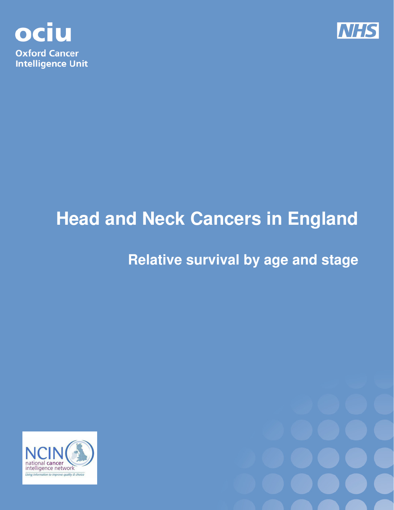



# **Head and Neck Cancers in England**

## **Relative survival by age and stage**



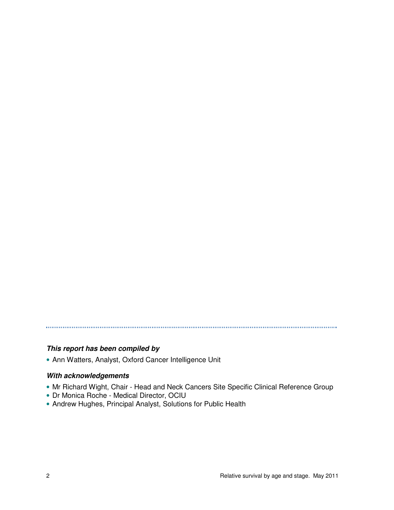## **This report has been compiled by**

• Ann Watters, Analyst, Oxford Cancer Intelligence Unit

#### **With acknowledgements**

- Mr Richard Wight, Chair Head and Neck Cancers Site Specific Clinical Reference Group
- Dr Monica Roche Medical Director, OCIU
- Andrew Hughes, Principal Analyst, Solutions for Public Health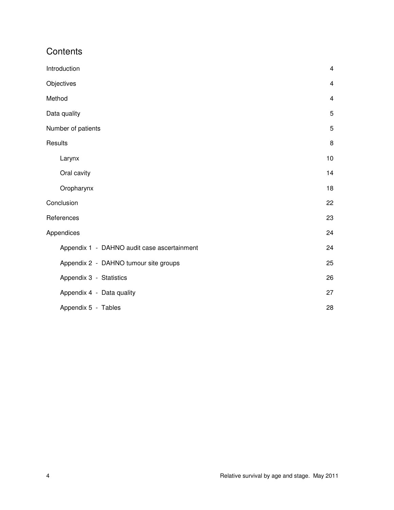## **Contents**

| Introduction                                | $\overline{4}$          |
|---------------------------------------------|-------------------------|
| Objectives                                  | $\overline{\mathbf{4}}$ |
| Method                                      | 4                       |
| Data quality                                | 5                       |
| Number of patients                          | 5                       |
| Results                                     | 8                       |
| Larynx                                      | 10                      |
| Oral cavity                                 | 14                      |
| Oropharynx                                  | 18                      |
| Conclusion                                  | 22                      |
| References                                  | 23                      |
| Appendices                                  | 24                      |
| Appendix 1 - DAHNO audit case ascertainment | 24                      |
| Appendix 2 - DAHNO tumour site groups       | 25                      |
| Appendix 3 - Statistics                     | 26                      |
| Appendix 4 - Data quality                   | 27                      |
| Appendix 5 - Tables                         | 28                      |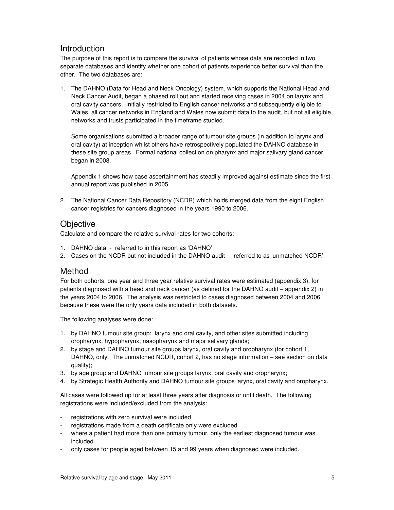### Introduction

The purpose of this report is to compare the survival of patients whose data are recorded in two separate databases and identify whether one cohort of patients experience better survival than the other. The two databases are:

1. The DAHNO (Data for Head and Neck Oncology) system, which supports the National Head and Neck Cancer Audit, began a phased roll out and started receiving cases in 2004 on larynx and oral cavity cancers. Initially restricted to English cancer networks and subsequently eligible to Wales, all cancer networks in England and Wales now submit data to the audit, but not all eligible networks and trusts participated in the timeframe studied.

Some organisations submitted a broader range of tumour site groups (in addition to larynx and oral cavity) at inception whilst others have retrospectively populated the DAHNO database in these site group areas. Formal national collection on pharynx and major salivary gland cancer began in 2008.

Appendix 1 shows how case ascertainment has steadily improved against estimate since the first annual report was published in 2005.

2. The National Cancer Data Repository (NCDR) which holds merged data from the eight English cancer registries for cancers diagnosed in the years 1990 to 2006.

#### **Objective**

Calculate and compare the relative survival rates for two cohorts:

- 1. DAHNO data referred to in this report as 'DAHNO'
- 2. Cases on the NCDR but not included in the DAHNO audit referred to as 'unmatched NCDR'

#### Method

For both cohorts, one year and three year relative survival rates were estimated (appendix 3), for patients diagnosed with a head and neck cancer (as defined for the DAHNO audit – appendix 2) in the years 2004 to 2006. The analysis was restricted to cases diagnosed between 2004 and 2006 because these were the only years data included in both datasets.

The following analyses were done:

- 1. by DAHNO tumour site group: larynx and oral cavity, and other sites submitted including oropharynx, hypopharynx, nasopharynx and major salivary glands;
- 2. by stage and DAHNO tumour site groups larynx, oral cavity and oropharynx (for cohort 1, DAHNO, only. The unmatched NCDR, cohort 2, has no stage information – see section on data quality);
- 3. by age group and DAHNO tumour site groups larynx, oral cavity and oropharynx;
- 4. by Strategic Health Authority and DAHNO tumour site groups larynx, oral cavity and oropharynx.

All cases were followed up for at least three years after diagnosis or until death. The following registrations were included/excluded from the analysis:

- registrations with zero survival were included
- registrations made from a death certificate only were excluded
- where a patient had more than one primary tumour, only the earliest diagnosed tumour was included
- only cases for people aged between 15 and 99 years when diagnosed were included.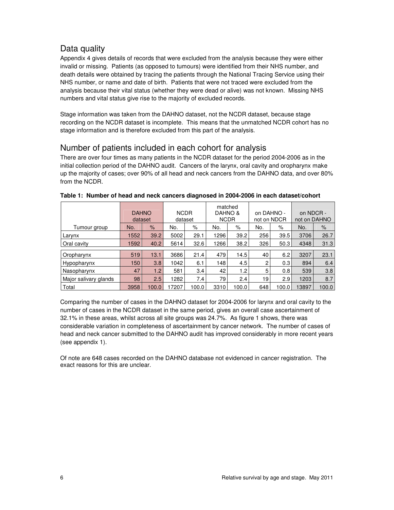## Data quality

Appendix 4 gives details of records that were excluded from the analysis because they were either invalid or missing. Patients (as opposed to tumours) were identified from their NHS number, and death details were obtained by tracing the patients through the National Tracing Service using their NHS number, or name and date of birth. Patients that were not traced were excluded from the analysis because their vital status (whether they were dead or alive) was not known. Missing NHS numbers and vital status give rise to the majority of excluded records.

Stage information was taken from the DAHNO dataset, not the NCDR dataset, because stage recording on the NCDR dataset is incomplete. This means that the unmatched NCDR cohort has no stage information and is therefore excluded from this part of the analysis.

## Number of patients included in each cohort for analysis

There are over four times as many patients in the NCDR dataset for the period 2004-2006 as in the initial collection period of the DAHNO audit. Cancers of the larynx, oral cavity and oropharynx make up the majority of cases; over 90% of all head and neck cancers from the DAHNO data, and over 80% from the NCDR.

|                       | <b>DAHNO</b><br>dataset |               | matched<br><b>NCDR</b><br>DAHNO &<br><b>NCDR</b><br>dataset |       | on DAHNO -<br>not on NDCR |       | on NDCR -<br>not on DAHNO |       |       |       |
|-----------------------|-------------------------|---------------|-------------------------------------------------------------|-------|---------------------------|-------|---------------------------|-------|-------|-------|
| Tumour group          | No.                     | $\frac{9}{6}$ | No.                                                         | $\%$  | No.                       | $\%$  | No.                       | %     | No.   | $\%$  |
| Larynx                | 1552                    | 39.2          | 5002                                                        | 29.1  | 1296                      | 39.2  | 256                       | 39.5  | 3706  | 26.7  |
| Oral cavity           | 1592                    | 40.2          | 5614                                                        | 32.6  | 1266                      | 38.2  | 326                       | 50.3  | 4348  | 31.3  |
| Oropharynx            | 519                     | 13.1          | 3686                                                        | 21.4  | 479                       | 14.5  | 40                        | 6.2   | 3207  | 23.1  |
| Hypopharynx           | 150                     | 3.8           | 1042                                                        | 6.1   | 148                       | 4.5   | 2                         | 0.3   | 894   | 6.4   |
| Nasopharynx           | 47                      | 1.2           | 581                                                         | 3.4   | 42                        | 1.2   | 5                         | 0.8   | 539   | 3.8   |
| Major salivary glands | 98                      | 2.5           | 1282                                                        | 7.4   | 79                        | 2.4   | 19                        | 2.9   | 1203  | 8.7   |
| Total                 | 3958                    | 100.0         | 17207                                                       | 100.0 | 3310                      | 100.0 | 648                       | 100.0 | 13897 | 100.0 |

**Table 1: Number of head and neck cancers diagnosed in 2004-2006 in each dataset/cohort** 

Comparing the number of cases in the DAHNO dataset for 2004-2006 for larynx and oral cavity to the number of cases in the NCDR dataset in the same period, gives an overall case ascertainment of 32.1% in these areas, whilst across all site groups was 24.7%. As figure 1 shows, there was considerable variation in completeness of ascertainment by cancer network. The number of cases of head and neck cancer submitted to the DAHNO audit has improved considerably in more recent years (see appendix 1).

Of note are 648 cases recorded on the DAHNO database not evidenced in cancer registration. The exact reasons for this are unclear.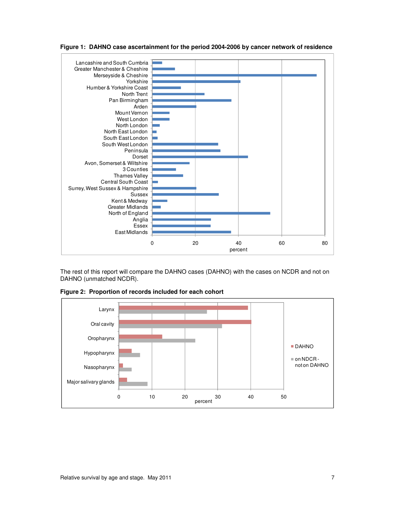

**Figure 1: DAHNO case ascertainment for the period 2004-2006 by cancer network of residence** 

The rest of this report will compare the DAHNO cases (DAHNO) with the cases on NCDR and not on DAHNO (unmatched NCDR).



**Figure 2: Proportion of records included for each cohort**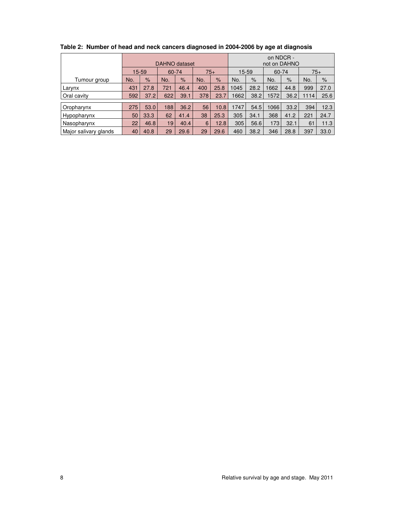|                       |     | DAHNO dataset |     |               |     | on NDCR -<br>not on DAHNO |      |                |      |      |      |       |
|-----------------------|-----|---------------|-----|---------------|-----|---------------------------|------|----------------|------|------|------|-------|
|                       |     | 15-59         |     | 60-74         |     | $75+$                     |      | 15-59<br>60-74 |      |      |      | $75+$ |
| Tumour group          | No. | $\frac{9}{6}$ | No. | $\frac{9}{6}$ | No. | $\frac{9}{6}$             | No.  | $\frac{9}{6}$  | No.  | $\%$ | No.  | $\%$  |
| Larynx                | 431 | 27.8          | 721 | 46.4          | 400 | 25.8                      | 1045 | 28.2           | 1662 | 44.8 | 999  | 27.0  |
| Oral cavity           | 592 | 37.2          | 622 | 39.1          | 378 | 23.7                      | 1662 | 38.2           | 1572 | 36.2 | 1114 | 25.6  |
| Oropharynx            | 275 | 53.0          | 188 | 36.2          | 56  | 10.8                      | 1747 | 54.5           | 1066 | 33.2 | 394  | 12.3  |
| Hypopharynx           | 50  | 33.3          | 62  | 41.4          | 38  | 25.3                      | 305  | 34.1           | 368  | 41.2 | 221  | 24.7  |
| Nasopharynx           | 22  | 46.8          | 19  | 40.4          | 6   | 12.8                      | 305  | 56.6           | 173  | 32.1 | 61   | 11.3  |
|                       |     |               |     |               |     |                           |      |                |      |      |      |       |
| Major salivary glands | 40  | 40.8          | 29  | 29.6          | 29  | 29.6                      | 460  | 38.2           | 346  | 28.8 | 397  | 33.0  |

**Table 2: Number of head and neck cancers diagnosed in 2004-2006 by age at diagnosis**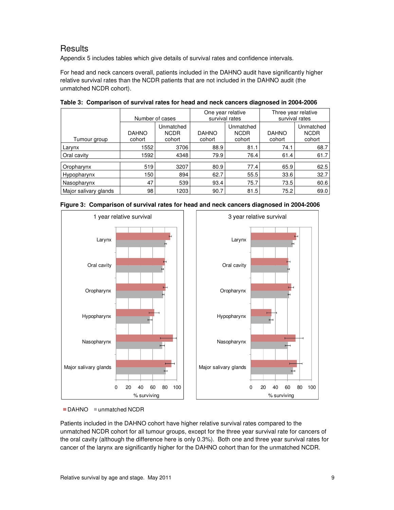## **Results**

Appendix 5 includes tables which give details of survival rates and confidence intervals.

For head and neck cancers overall, patients included in the DAHNO audit have significantly higher relative survival rates than the NCDR patients that are not included in the DAHNO audit (the unmatched NCDR cohort).

|                       | Number of cases        |                                    | One year relative<br>survival rates |                                    | Three year relative<br>survival rates |                                    |  |
|-----------------------|------------------------|------------------------------------|-------------------------------------|------------------------------------|---------------------------------------|------------------------------------|--|
| Tumour group          | <b>DAHNO</b><br>cohort | Unmatched<br><b>NCDR</b><br>cohort | <b>DAHNO</b><br>cohort              | Unmatched<br><b>NCDR</b><br>cohort | <b>DAHNO</b><br>cohort                | Unmatched<br><b>NCDR</b><br>cohort |  |
| Larynx                | 1552                   | 3706                               | 88.9                                | 81.1                               | 74.1                                  | 68.7                               |  |
| Oral cavity           | 1592                   | 4348                               | 79.9                                | 76.4                               | 61.4                                  | 61.7                               |  |
| Oropharynx            | 519                    | 3207                               | 80.9                                | 77.4                               | 65.9                                  | 62.5                               |  |
| Hypopharynx           | 150                    | 894                                | 62.7                                | 55.5                               | 33.6                                  | 32.7                               |  |
| Nasopharynx           | 47                     | 539                                | 93.4                                | 75.7                               | 73.5                                  | 60.6                               |  |
| Major salivary glands | 98                     | 1203                               | 90.7                                | 81.5                               | 75.2                                  | 69.0                               |  |

**Table 3: Comparison of survival rates for head and neck cancers diagnosed in 2004-2006** 





<sup>■</sup> DAHNO **■ unmatched NCDR** 

Patients included in the DAHNO cohort have higher relative survival rates compared to the unmatched NCDR cohort for all tumour groups, except for the three year survival rate for cancers of the oral cavity (although the difference here is only 0.3%). Both one and three year survival rates for cancer of the larynx are significantly higher for the DAHNO cohort than for the unmatched NCDR.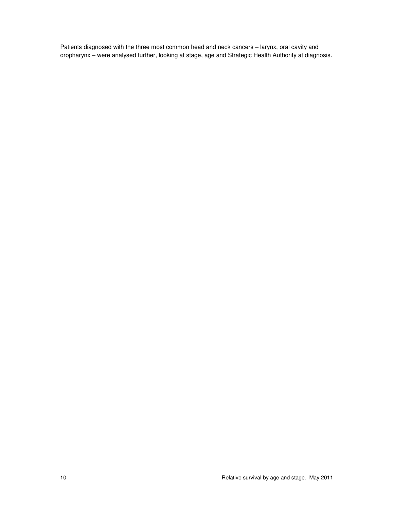Patients diagnosed with the three most common head and neck cancers – larynx, oral cavity and oropharynx – were analysed further, looking at stage, age and Strategic Health Authority at diagnosis.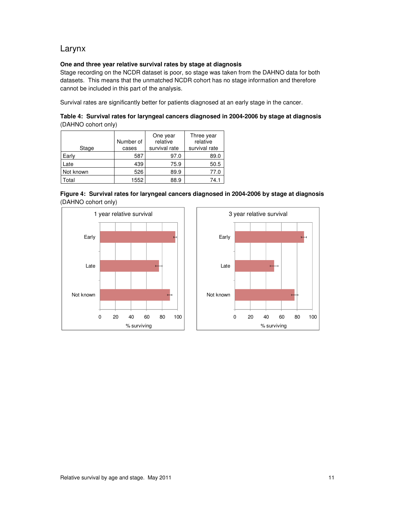## Larynx

#### **One and three year relative survival rates by stage at diagnosis**

Stage recording on the NCDR dataset is poor, so stage was taken from the DAHNO data for both datasets. This means that the unmatched NCDR cohort has no stage information and therefore cannot be included in this part of the analysis.

Survival rates are significantly better for patients diagnosed at an early stage in the cancer.

**Table 4: Survival rates for laryngeal cancers diagnosed in 2004-2006 by stage at diagnosis**  (DAHNO cohort only)

| Stage     | Number of<br>cases | One year<br>relative<br>survival rate | Three year<br>relative<br>survival rate |
|-----------|--------------------|---------------------------------------|-----------------------------------------|
| Early     | 587                | 97.0                                  | 89.0                                    |
| Late      | 439                | 75.9                                  | 50.5                                    |
| Not known | 526                | 89.9                                  | 77.0                                    |
| Total     | 1552               | 88.9                                  | 74.1                                    |





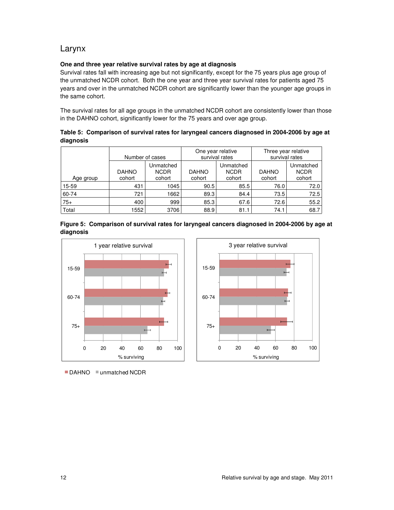## Larynx

#### **One and three year relative survival rates by age at diagnosis**

Survival rates fall with increasing age but not significantly, except for the 75 years plus age group of the unmatched NCDR cohort. Both the one year and three year survival rates for patients aged 75 years and over in the unmatched NCDR cohort are significantly lower than the younger age groups in the same cohort.

The survival rates for all age groups in the unmatched NCDR cohort are consistently lower than those in the DAHNO cohort, significantly lower for the 75 years and over age group.

|           | Table 5: Comparison of survival rates for laryngeal cancers diagnosed in 2004-2006 by age at |  |  |
|-----------|----------------------------------------------------------------------------------------------|--|--|
| diagnosis |                                                                                              |  |  |

|           | Number of cases        |                                    |                        | One year relative<br>survival rates | Three year relative<br>survival rates |                                    |  |
|-----------|------------------------|------------------------------------|------------------------|-------------------------------------|---------------------------------------|------------------------------------|--|
| Age group | <b>DAHNO</b><br>cohort | Unmatched<br><b>NCDR</b><br>cohort | <b>DAHNO</b><br>cohort | Unmatched<br><b>NCDR</b><br>cohort  | <b>DAHNO</b><br>cohort                | Unmatched<br><b>NCDR</b><br>cohort |  |
| 15-59     | 431                    | 1045                               | 90.5                   | 85.5                                | 76.0                                  | 72.0                               |  |
| 60-74     | 721                    | 1662                               | 89.3                   | 84.4                                | 73.5                                  | 72.5                               |  |
| $75+$     | 400                    | 999                                | 85.3                   | 67.6                                | 72.6                                  | 55.2                               |  |
| Total     | 1552                   | 3706                               | 88.9                   | 81.1                                | 74.1                                  | 68.7                               |  |





■ DAHNO **■ unmatched NCDR** 

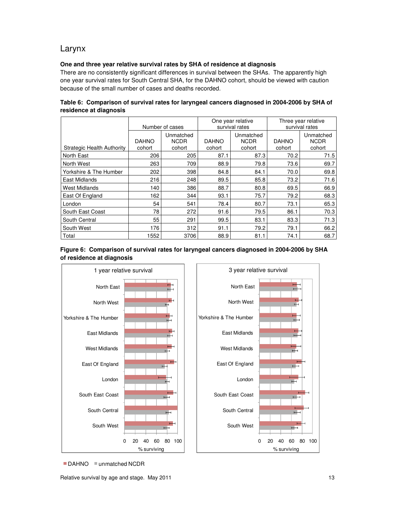## Larynx

#### **One and three year relative survival rates by SHA of residence at diagnosis**

There are no consistently significant differences in survival between the SHAs. The apparently high one year survival rates for South Central SHA, for the DAHNO cohort, should be viewed with caution because of the small number of cases and deaths recorded.

|                                   |                        | Number of cases                    |                        | One year relative<br>survival rates | Three year relative<br>survival rates |                                    |  |
|-----------------------------------|------------------------|------------------------------------|------------------------|-------------------------------------|---------------------------------------|------------------------------------|--|
| <b>Strategic Health Authority</b> | <b>DAHNO</b><br>cohort | Unmatched<br><b>NCDR</b><br>cohort | <b>DAHNO</b><br>cohort | Unmatched<br><b>NCDR</b><br>cohort  | <b>DAHNO</b><br>cohort                | Unmatched<br><b>NCDR</b><br>cohort |  |
| North East                        | 206                    | 205                                | 87.1                   | 87.3                                | 70.2                                  | 71.5                               |  |
| North West                        | 263                    | 709                                | 88.9                   | 79.8                                | 73.6                                  | 69.7                               |  |
| Yorkshire & The Humber            | 202                    | 398                                | 84.8                   | 84.1                                | 70.0                                  | 69.8                               |  |
| East Midlands                     | 216                    | 248                                | 89.5                   | 85.8                                | 73.2                                  | 71.6                               |  |
| West Midlands                     | 140                    | 386                                | 88.7                   | 80.8                                | 69.5                                  | 66.9                               |  |
| East Of England                   | 162                    | 344                                | 93.1                   | 75.7                                | 79.2                                  | 68.3                               |  |
| London                            | 54                     | 541                                | 78.4                   | 80.7                                | 73.1                                  | 65.3                               |  |
| South East Coast                  | 78                     | 272                                | 91.6                   | 79.5                                | 86.1                                  | 70.3                               |  |
| South Central                     | 55                     | 291                                | 99.5                   | 83.1                                | 83.3                                  | 71.3                               |  |
| South West                        | 176                    | 312                                | 91.1                   | 79.2                                | 79.1                                  | 66.2                               |  |
| Total                             | 1552                   | 3706                               | 88.9                   | 81.1                                | 74.1                                  | 68.7                               |  |

**Table 6: Comparison of survival rates for laryngeal cancers diagnosed in 2004-2006 by SHA of residence at diagnosis** 





■ DAHNO **■ unmatched NCDR**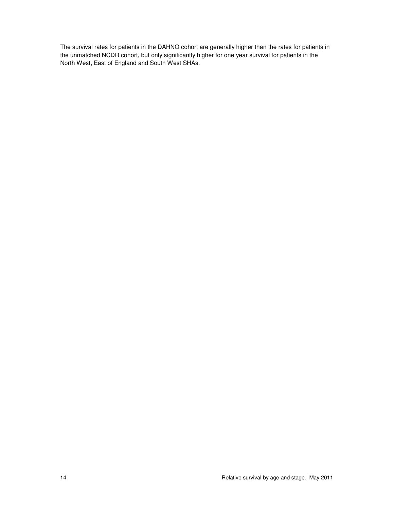The survival rates for patients in the DAHNO cohort are generally higher than the rates for patients in the unmatched NCDR cohort, but only significantly higher for one year survival for patients in the North West, East of England and South West SHAs.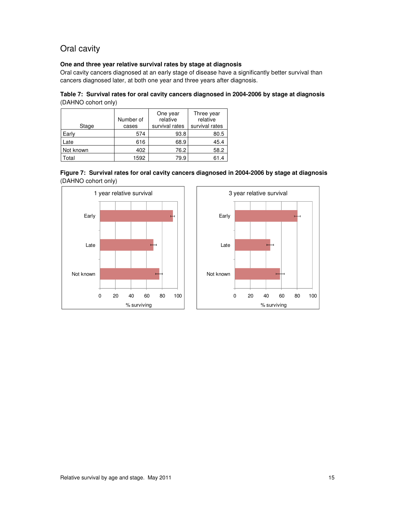## Oral cavity

#### **One and three year relative survival rates by stage at diagnosis**

Oral cavity cancers diagnosed at an early stage of disease have a significantly better survival than cancers diagnosed later, at both one year and three years after diagnosis.

| Table 7: Survival rates for oral cavity cancers diagnosed in 2004-2006 by stage at diagnosis |  |
|----------------------------------------------------------------------------------------------|--|
| (DAHNO cohort only)                                                                          |  |

| Stage     | Number of<br>cases | One year<br>relative<br>survival rates | Three year<br>relative<br>survival rates |
|-----------|--------------------|----------------------------------------|------------------------------------------|
| Early     | 574                | 93.8                                   | 80.5                                     |
| Late      | 616                | 68.9                                   | 45.4                                     |
| Not known | 402                | 76.2                                   | 58.2                                     |
| Total     | 1592               | 79.9                                   | 61.4                                     |



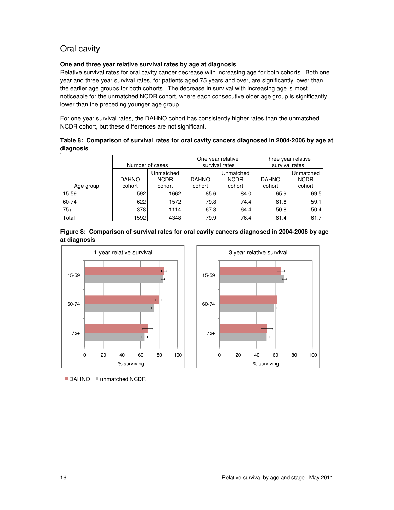## Oral cavity

#### **One and three year relative survival rates by age at diagnosis**

Relative survival rates for oral cavity cancer decrease with increasing age for both cohorts. Both one year and three year survival rates, for patients aged 75 years and over, are significantly lower than the earlier age groups for both cohorts. The decrease in survival with increasing age is most noticeable for the unmatched NCDR cohort, where each consecutive older age group is significantly lower than the preceding younger age group.

For one year survival rates, the DAHNO cohort has consistently higher rates than the unmatched NCDR cohort, but these differences are not significant.

#### **Table 8: Comparison of survival rates for oral cavity cancers diagnosed in 2004-2006 by age at diagnosis**

|           | Number of cases        |                                    |                        | One year relative<br>survival rates | Three year relative<br>survival rates |                                    |  |
|-----------|------------------------|------------------------------------|------------------------|-------------------------------------|---------------------------------------|------------------------------------|--|
| Age group | <b>DAHNO</b><br>cohort | Unmatched<br><b>NCDR</b><br>cohort | <b>DAHNO</b><br>cohort | Unmatched<br><b>NCDR</b><br>cohort  | <b>DAHNO</b><br>cohort                | Unmatched<br><b>NCDR</b><br>cohort |  |
| 15-59     | 592                    | 1662                               | 85.6                   | 84.0                                | 65.9                                  | 69.5                               |  |
| 60-74     | 622                    | 1572                               | 79.8                   | 74.4                                | 61.8                                  | 59.1                               |  |
| $75+$     | 378                    | 1114                               | 67.8                   | 64.4                                | 50.8                                  | 50.4                               |  |
| Total     | 1592                   | 4348                               | 79.9                   | 76.4                                | 61.4                                  | 61.7                               |  |





■ DAHNO **■ unmatched NCDR** 

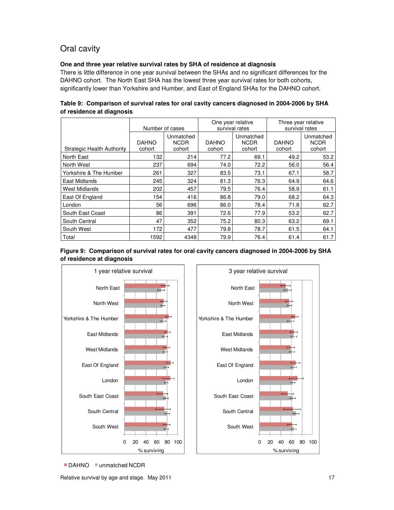## Oral cavity

#### **One and three year relative survival rates by SHA of residence at diagnosis**

There is little difference in one year survival between the SHAs and no significant differences for the DAHNO cohort. The North East SHA has the lowest three year survival rates for both cohorts, significantly lower than Yorkshire and Humber, and East of England SHAs for the DAHNO cohort.

|                            |                        | Number of cases                    | One year relative      | survival rates                     | Three year relative<br>survival rates |                                    |
|----------------------------|------------------------|------------------------------------|------------------------|------------------------------------|---------------------------------------|------------------------------------|
| Strategic Health Authority | <b>DAHNO</b><br>cohort | Unmatched<br><b>NCDR</b><br>cohort | <b>DAHNO</b><br>cohort | Unmatched<br><b>NCDR</b><br>cohort | <b>DAHNO</b><br>cohort                | Unmatched<br><b>NCDR</b><br>cohort |
| North East                 | 132                    | 214                                | 77.2                   | 69.1                               | 49.2                                  | 53.2                               |
| North West                 | 237                    | 694                                | 74.0                   | 72.2                               | 56.0                                  | 56.4                               |
| Yorkshire & The Humber     | 261                    | 327                                | 83.5                   | 73.1                               | 67.1                                  | 58.7                               |
| East Midlands              | 245                    | 324                                | 81.3                   | 76.3                               | 64.9                                  | 64.6                               |
| <b>West Midlands</b>       | 202                    | 457                                | 79.5                   | 76.4                               | 58.9                                  | 61.1                               |
| East Of England            | 154                    | 416                                | 86.8                   | 79.0                               | 68.2                                  | 64.3                               |
| London                     | 56                     | 696                                | 86.0                   | 78.4                               | 71.8                                  | 62.7                               |
| South East Coast           | 86                     | 391                                | 72.6                   | 77.9                               | 53.2                                  | 62.7                               |
| South Central              | 47                     | 352                                | 75.2                   | 80.3                               | 63.2                                  | 69.1                               |
| South West                 | 172                    | 477                                | 79.8                   | 78.7                               | 61.5                                  | 64.1                               |
| Total                      | 1592                   | 4348                               | 79.9                   | 76.4                               | 61.4                                  | 61.7                               |

#### **Table 9: Comparison of survival rates for oral cavity cancers diagnosed in 2004-2006 by SHA of residence at diagnosis**





■ DAHNO **■ unmatched NCDR**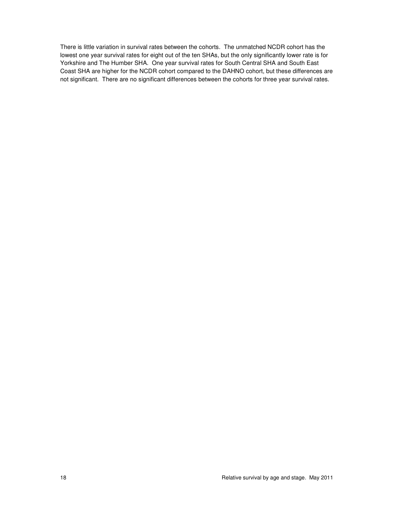There is little variation in survival rates between the cohorts. The unmatched NCDR cohort has the lowest one year survival rates for eight out of the ten SHAs, but the only significantly lower rate is for Yorkshire and The Humber SHA. One year survival rates for South Central SHA and South East Coast SHA are higher for the NCDR cohort compared to the DAHNO cohort, but these differences are not significant. There are no significant differences between the cohorts for three year survival rates.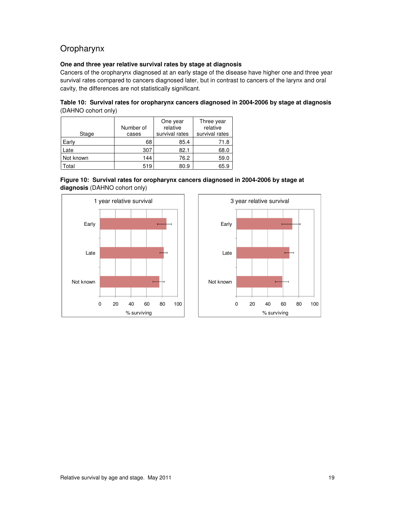## Oropharynx

#### **One and three year relative survival rates by stage at diagnosis**

Cancers of the oropharynx diagnosed at an early stage of the disease have higher one and three year survival rates compared to cancers diagnosed later, but in contrast to cancers of the larynx and oral cavity, the differences are not statistically significant.

|                     | Table 10: Survival rates for oropharynx cancers diagnosed in 2004-2006 by stage at diagnosis |  |  |
|---------------------|----------------------------------------------------------------------------------------------|--|--|
| (DAHNO cohort only) |                                                                                              |  |  |

| Stage     | Number of<br>cases | One year<br>relative<br>survival rates | Three year<br>relative<br>survival rates |
|-----------|--------------------|----------------------------------------|------------------------------------------|
| Early     | 68                 | 85.4                                   | 71.8                                     |
| Late      | 307                | 82.1                                   | 68.0                                     |
| Not known | 144                | 76.2                                   | 59.0                                     |
| cotal     | 519                | 80.9                                   | 65.9                                     |





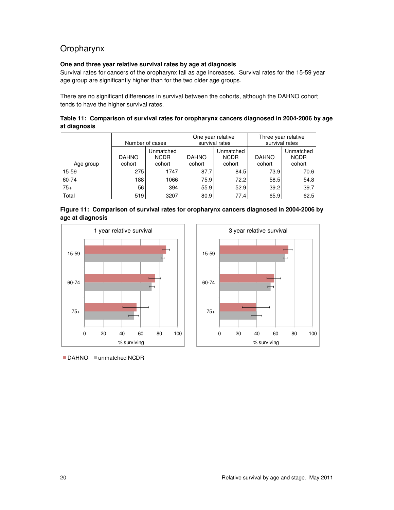## Oropharynx

#### **One and three year relative survival rates by age at diagnosis**

Survival rates for cancers of the oropharynx fall as age increases. Survival rates for the 15-59 year age group are significantly higher than for the two older age groups.

There are no significant differences in survival between the cohorts, although the DAHNO cohort tends to have the higher survival rates.

|              | Table 11: Comparison of survival rates for oropharynx cancers diagnosed in 2004-2006 by age |  |
|--------------|---------------------------------------------------------------------------------------------|--|
| at diagnosis |                                                                                             |  |

|           |                        | Number of cases                    | One year relative      | survival rates                     | Three year relative<br>survival rates |                                    |  |
|-----------|------------------------|------------------------------------|------------------------|------------------------------------|---------------------------------------|------------------------------------|--|
| Age group | <b>DAHNO</b><br>cohort | Unmatched<br><b>NCDR</b><br>cohort | <b>DAHNO</b><br>cohort | Unmatched<br><b>NCDR</b><br>cohort | <b>DAHNO</b><br>cohort                | Unmatched<br><b>NCDR</b><br>cohort |  |
| 15-59     | 275                    | 1747                               | 87.7                   | 84.5                               | 73.9                                  | 70.6                               |  |
| 60-74     | 188                    | 1066                               | 75.9                   | 72.2                               | 58.5                                  | 54.8                               |  |
| $75+$     | 56                     | 394                                | 55.9                   | 52.9                               | 39.2                                  | 39.7                               |  |
| Total     | 519                    | 3207                               | 80.9                   | 77.4                               | 65.9                                  | 62.5                               |  |







 $\blacksquare$  DAHNO  $\blacksquare$  unmatched NCDR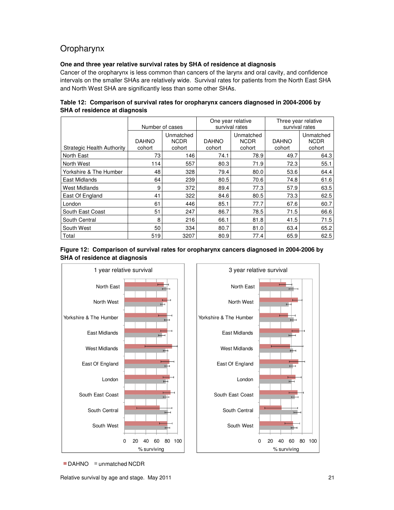## Oropharynx

#### **One and three year relative survival rates by SHA of residence at diagnosis**

Cancer of the oropharynx is less common than cancers of the larynx and oral cavity, and confidence intervals on the smaller SHAs are relatively wide. Survival rates for patients from the North East SHA and North West SHA are significantly less than some other SHAs.

|                                   | Number of cases        |                                    |                        | One year relative<br>survival rates | Three year relative<br>survival rates |                                    |  |
|-----------------------------------|------------------------|------------------------------------|------------------------|-------------------------------------|---------------------------------------|------------------------------------|--|
| <b>Strategic Health Authority</b> | <b>DAHNO</b><br>cohort | Unmatched<br><b>NCDR</b><br>cohort | <b>DAHNO</b><br>cohort | Unmatched<br><b>NCDR</b><br>cohort  |                                       | Unmatched<br><b>NCDR</b><br>cohort |  |
| North East                        | 73                     | 146                                | 74.1                   | 78.9                                | 49.7                                  | 64.3                               |  |
| North West                        | 114                    | 557                                | 80.3                   | 71.9                                | 72.3                                  | 55.1                               |  |
| Yorkshire & The Humber            | 48                     | 328                                | 79.4                   | 80.0                                | 53.6                                  | 64.4                               |  |
| East Midlands                     | 64                     | 239                                | 80.5                   | 70.6                                | 74.8                                  | 61.6                               |  |
| West Midlands                     | 9                      | 372                                | 89.4                   | 77.3                                | 57.9                                  | 63.5                               |  |
| East Of England                   | 41                     | 322                                | 84.6                   | 80.5                                | 73.3                                  | 62.5                               |  |
| London                            | 61                     | 446                                | 85.1                   | 77.7                                | 67.6                                  | 60.7                               |  |
| South East Coast                  | 51                     | 247                                | 86.7                   | 78.5                                | 71.5                                  | 66.6                               |  |
| South Central                     | 8                      | 216                                | 66.1                   | 81.8                                | 41.5                                  | 71.5                               |  |
| South West                        | 50                     | 334                                | 80.7                   | 81.0                                | 63.4                                  | 65.2                               |  |
| Total                             | 519                    | 3207                               | 80.9                   | 77.4                                | 65.9                                  | 62.5                               |  |

**Table 12: Comparison of survival rates for oropharynx cancers diagnosed in 2004-2006 by SHA of residence at diagnosis** 





■ DAHNO **■ unmatched NCDR**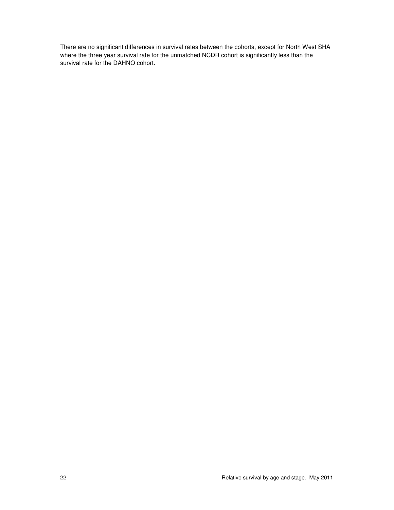There are no significant differences in survival rates between the cohorts, except for North West SHA where the three year survival rate for the unmatched NCDR cohort is significantly less than the survival rate for the DAHNO cohort.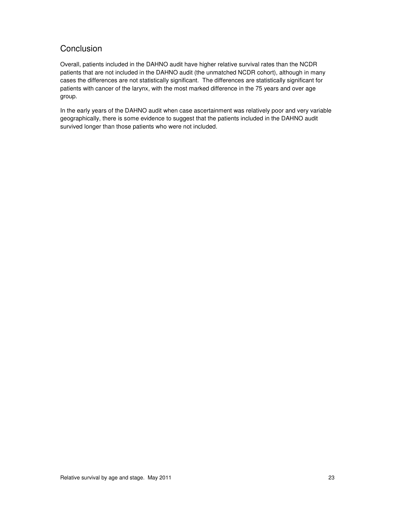## **Conclusion**

Overall, patients included in the DAHNO audit have higher relative survival rates than the NCDR patients that are not included in the DAHNO audit (the unmatched NCDR cohort), although in many cases the differences are not statistically significant. The differences are statistically significant for patients with cancer of the larynx, with the most marked difference in the 75 years and over age group.

In the early years of the DAHNO audit when case ascertainment was relatively poor and very variable geographically, there is some evidence to suggest that the patients included in the DAHNO audit survived longer than those patients who were not included.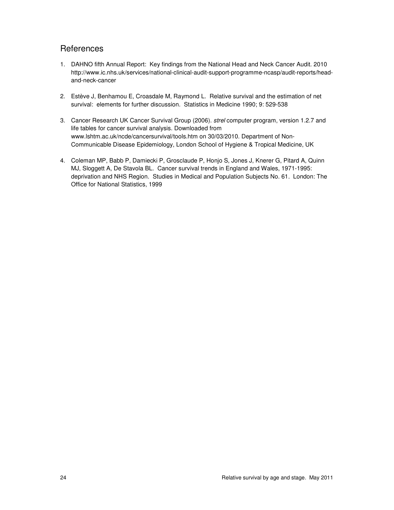## **References**

- 1. DAHNO fifth Annual Report: Key findings from the National Head and Neck Cancer Audit. 2010 http://www.ic.nhs.uk/services/national-clinical-audit-support-programme-ncasp/audit-reports/headand-neck-cancer
- 2. Estève J, Benhamou E, Croasdale M, Raymond L. Relative survival and the estimation of net survival: elements for further discussion. Statistics in Medicine 1990; 9: 529-538
- 3. Cancer Research UK Cancer Survival Group (2006). strel computer program, version 1.2.7 and life tables for cancer survival analysis. Downloaded from www.lshtm.ac.uk/ncde/cancersurvival/tools.htm on 30/03/2010. Department of Non-Communicable Disease Epidemiology, London School of Hygiene & Tropical Medicine, UK
- 4. Coleman MP, Babb P, Damiecki P, Grosclaude P, Honjo S, Jones J, Knerer G, Pitard A, Quinn MJ, Sloggett A, De Stavola BL. Cancer survival trends in England and Wales, 1971-1995: deprivation and NHS Region. Studies in Medical and Population Subjects No. 61. London: The Office for National Statistics, 1999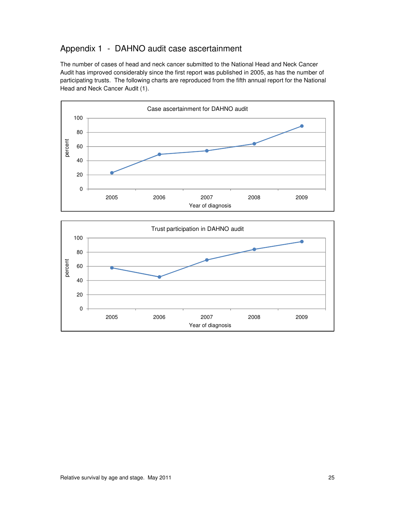## Appendix 1 - DAHNO audit case ascertainment

The number of cases of head and neck cancer submitted to the National Head and Neck Cancer Audit has improved considerably since the first report was published in 2005, as has the number of participating trusts. The following charts are reproduced from the fifth annual report for the National Head and Neck Cancer Audit (1).



2005 2006 2007 2008 2009

Year of diagnosis



0

20

40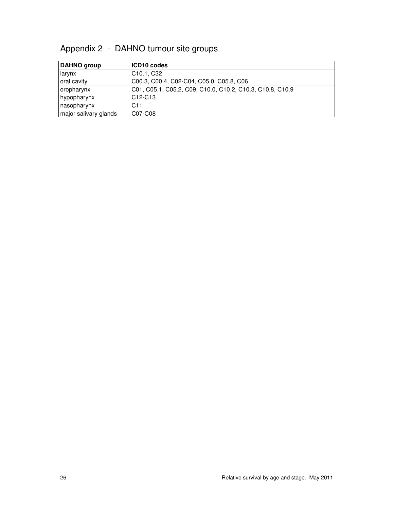## Appendix 2 - DAHNO tumour site groups

| DAHNO group           | ICD10 codes                                               |
|-----------------------|-----------------------------------------------------------|
| larynx                | C <sub>10.1</sub> , C <sub>32</sub>                       |
| oral cavity           | C00.3, C00.4, C02-C04, C05.0, C05.8, C06                  |
| oropharynx            | C01, C05.1, C05.2, C09, C10.0, C10.2, C10.3, C10.8, C10.9 |
| hypopharynx           | C <sub>12</sub> -C <sub>13</sub>                          |
| nasopharynx           | C <sub>11</sub>                                           |
| major salivary glands | C07-C08                                                   |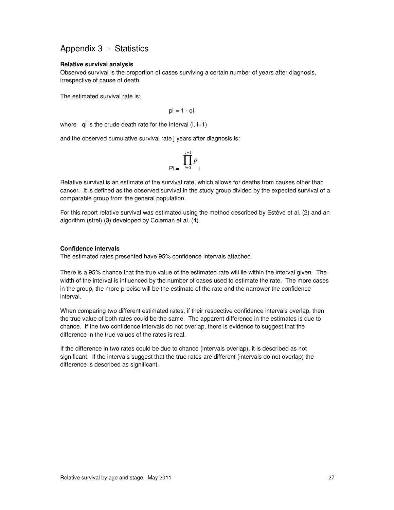## Appendix 3 - Statistics

#### **Relative survival analysis**

Observed survival is the proportion of cases surviving a certain number of years after diagnosis, irrespective of cause of death.

The estimated survival rate is:

$$
pi = 1 - qi
$$

where qi is the crude death rate for the interval  $(i, i+1)$ 

and the observed cumulative survival rate j years after diagnosis is:

$$
\mathsf{Pi} = \prod_{i=0}^{j-1} p_i
$$

Relative survival is an estimate of the survival rate, which allows for deaths from causes other than cancer. It is defined as the observed survival in the study group divided by the expected survival of a comparable group from the general population.

For this report relative survival was estimated using the method described by Estève et al. (2) and an algorithm (strel) (3) developed by Coleman et al. (4).

#### **Confidence intervals**

The estimated rates presented have 95% confidence intervals attached.

There is a 95% chance that the true value of the estimated rate will lie within the interval given. The width of the interval is influenced by the number of cases used to estimate the rate. The more cases in the group, the more precise will be the estimate of the rate and the narrower the confidence interval.

When comparing two different estimated rates, if their respective confidence intervals overlap, then the true value of both rates could be the same. The apparent difference in the estimates is due to chance. If the two confidence intervals do not overlap, there is evidence to suggest that the difference in the true values of the rates is real.

If the difference in two rates could be due to chance (intervals overlap), it is described as not significant. If the intervals suggest that the true rates are different (intervals do not overlap) the difference is described as significant.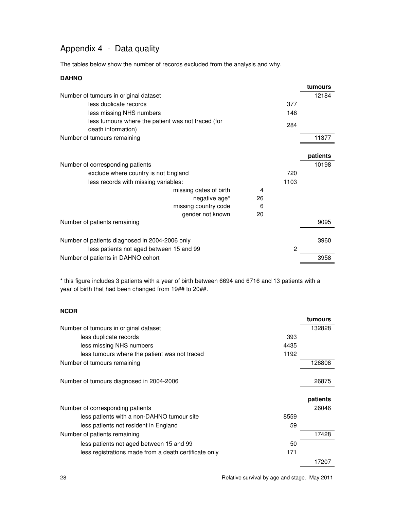## Appendix 4 - Data quality

The tables below show the number of records excluded from the analysis and why.

#### **DAHNO**

|                                                                          |    |      | tumours  |
|--------------------------------------------------------------------------|----|------|----------|
| Number of tumours in original dataset                                    |    |      | 12184    |
| less duplicate records                                                   |    | 377  |          |
| less missing NHS numbers                                                 |    | 146  |          |
| less tumours where the patient was not traced (for<br>death information) |    | 284  |          |
| Number of tumours remaining                                              |    |      | 11377    |
|                                                                          |    |      |          |
|                                                                          |    |      | patients |
| Number of corresponding patients                                         |    |      | 10198    |
| exclude where country is not England                                     |    | 720  |          |
| less records with missing variables:                                     |    | 1103 |          |
| missing dates of birth                                                   | 4  |      |          |
| negative age*                                                            | 26 |      |          |
| missing country code                                                     | 6  |      |          |
| gender not known                                                         | 20 |      |          |
| Number of patients remaining                                             |    |      | 9095     |
|                                                                          |    |      |          |
| Number of patients diagnosed in 2004-2006 only                           |    |      | 3960     |
| less patients not aged between 15 and 99                                 |    | 2    |          |
| Number of patients in DAHNO cohort                                       |    |      | 3958     |
|                                                                          |    |      |          |

\* this figure includes 3 patients with a year of birth between 6694 and 6716 and 13 patients with a year of birth that had been changed from 19## to 20##.

#### **NCDR**

|                                                              | tumours  |
|--------------------------------------------------------------|----------|
| Number of tumours in original dataset                        | 132828   |
| 393<br>less duplicate records                                |          |
| less missing NHS numbers<br>4435                             |          |
| 1192<br>less tumours where the patient was not traced        |          |
| Number of tumours remaining                                  | 126808   |
| Number of tumours diagnosed in 2004-2006                     | 26875    |
|                                                              | patients |
| Number of corresponding patients                             | 26046    |
| less patients with a non-DAHNO tumour site<br>8559           |          |
| 59<br>less patients not resident in England                  |          |
| Number of patients remaining                                 | 17428    |
| 50<br>less patients not aged between 15 and 99               |          |
| less registrations made from a death certificate only<br>171 |          |
|                                                              | 17207    |

28 Relative survival by age and stage. May 2011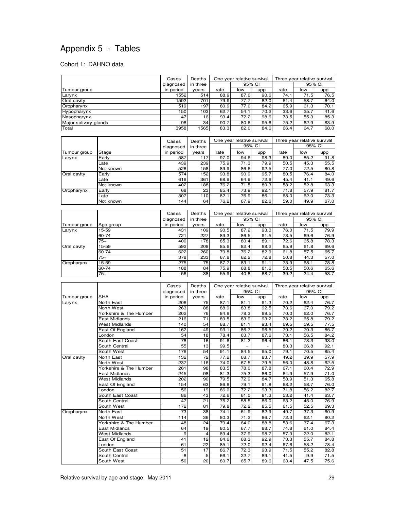## Appendix 5 - Tables

#### Cohort 1: DAHNO data

|                       | Cases     | Deaths          | One year relative survival |        |      |      | Three year relative survival |      |  |
|-----------------------|-----------|-----------------|----------------------------|--------|------|------|------------------------------|------|--|
|                       | diagnosed | in three        |                            | 95% CI |      |      | 95% CI                       |      |  |
| Tumour group          | in period | years           | rate                       | low    | upp  | rate | low                          | upp  |  |
| Larynx                | 1552      | 514             | 88.9                       | 87.0   | 90.6 | 74.1 | 71.5                         | 76.5 |  |
| Oral cavity           | 1592      | 701             | 79.9l                      | 77.7   | 82.0 | 61.4 | 58.7                         | 64.0 |  |
| Oropharynx            | 519       | 197             | 80.9                       | 77.0   | 84.2 | 65.9 | 61.3                         | 70.1 |  |
| Hypopharynx           | 150       | 103             | 62.7                       | 54.1   | 70.2 | 33.6 | 25.7                         | 41.6 |  |
| Nasopharynx           | 47        | 16 <sup>1</sup> | 93.4                       | 72.2   | 98.6 | 73.5 | 55.3                         | 85.3 |  |
| Major salivary glands | 98        | 34              | 90.7                       | 80.6   | 95.6 | 75.2 | 62.9                         | 83.9 |  |
| Total                 | 3958      | 1565            | 83.3                       | 82.0   | 84.6 | 66.4 | 64.7                         | 68.0 |  |

|              |           |           | Deaths          |      | One year relative survival |        | Three year relative survival |        |      |
|--------------|-----------|-----------|-----------------|------|----------------------------|--------|------------------------------|--------|------|
|              |           | diagnosed | in three        |      |                            | 95% CI |                              | 95% CI |      |
| Tumour group | Stage     | in period | years           | rate | low                        | upp    | rate                         | low    | upp  |
| Larynx       | Early     | 587       | 117             | 97.0 | 94.6                       | 98.3   | 89.0                         | 85.2   | 91.8 |
|              | Late      | 439       | 239             | 75.9 | 71.3                       | 79.9   | 50.5                         | 45.3   | 55.5 |
|              | Not known | 526       | 1581            | 89.9 | 86.6                       | 92.5   | 77.0                         | 72.5   | 80.8 |
| Oral cavity  | Early     | 574       | 152             | 93.8 | 90.9                       | 95.7   | 80.5                         | 76.4   | 84.0 |
|              | Late      | 616       | 361             | 68.9 | 64.9                       | 72.6   | 45.4                         | 41.1   | 49.6 |
|              | Not known | 402       | 188             | 76.2 | 71.5                       | 80.3   | 58.2                         | 52.8   | 63.3 |
| Oropharynx   | Early     | 68        | 23 <sub>l</sub> | 85.4 | 73.9                       | 92.1   | 71.8                         | 57.9   | 81.7 |
|              | Late      | 307       | 110             | 82.1 | 76.9                       | 86.1   | 68.0                         | 62.0   | 73.3 |
|              | Not known | 144       | 64              | 76.2 | 67.9                       | 82.6   | 59.0                         | 49.9   | 67.0 |

|              |           | Cases     | Deaths   | One year relative survival |        |      | Three year relative survival |        |      |
|--------------|-----------|-----------|----------|----------------------------|--------|------|------------------------------|--------|------|
|              |           | diagnosed | in three |                            | 95% CI |      |                              | 95% CI |      |
| Tumour group | Age group | in period | years    | rate                       | low    | upp  | rate                         | low    | upp  |
| Larynx       | 15-59     | 431       | 109      | 90.5                       | 87.2   | 93.0 | 76.0                         | 71.5   | 79.9 |
|              | 60-74     | 721       | 227      | 89.3                       | 86.5   | 91.5 | 73.5                         | 69.6   | 76.9 |
|              | $75+$     | 400       | 178      | 85.3                       | 80.4   | 89.1 | 72.6                         | 65.8   | 78.3 |
| Oral cavity  | 15-59     | 592       | 208      | 85.6                       | 82.4   | 88.2 | 65.9                         | 61.8   | 69.6 |
|              | 60-74     | 622       | 260      | 79.8                       | 76.2   | 82.9 | 61.8                         | 57.5   | 65.7 |
|              | $75+$     | 378       | 233      | 67.8                       | 62.2   | 72.8 | 50.8                         | 44.3   | 57.0 |
| Oropharynx   | 15-59     | 275       | 75I      | 87.7                       | 83.1   | 91.1 | 73.9                         | 68.7   | 78.8 |
|              | 60-74     | 188       | 84       | 75.9l                      | 68.8   | 81.6 | 58.5                         | 50.6   | 65.6 |
|              | $75+$     | 56        | 38       | 55.9                       | 40.8   | 68.7 | 39.2                         | 24.4   | 53.7 |

|              |                        |                 | Deaths          | One year relative survival |        | Three year relative survival |      |        |      |
|--------------|------------------------|-----------------|-----------------|----------------------------|--------|------------------------------|------|--------|------|
|              |                        | diagnosed       | in three        |                            | 95% CI |                              |      | 95% CI |      |
| Tumour group | <b>SHA</b>             | in period       | years           | rate                       | low    | upp                          | rate | low    | upp  |
| Larynx       | <b>North East</b>      | 206             | 75              | 87.1                       | 81.1   | 91.3                         | 70.2 | 62.4   | 76.7 |
|              | North West             | 263             | 88              | 88.9                       | 83.8   | 92.5                         | 73.6 | 67.0   | 79.2 |
|              | Yorkshire & The Humber | 202             | 76              | 84.8                       | 78.3   | 89.5                         | 70.0 | 62.0   | 76.7 |
|              | East Midlands          | 216             | $\overline{71}$ | 89.5                       | 83.9   | 93.2                         | 73.2 | 65.8   | 79.2 |
|              | <b>West Midlands</b>   | 140             | 54              | 88.7                       | 81.1   | 93.4                         | 69.5 | 59.5   | 77.5 |
|              | East Of England        | 162             | 49              | 93.1                       | 86.7   | 96.5                         | 79.2 | 70.3   | 85.7 |
|              | London                 | 54              | 18              | 78.4                       | 63.7   | 87.6                         | 73.1 | 56.5   | 84.2 |
|              | South East Coast       | 78              | 16              | 91.6                       | 81.2   | 96.4                         | 86.1 | 73.3   | 93.0 |
|              | South Central          | 55              | 13              | 99.5                       |        |                              | 83.3 | 66.8   | 92.1 |
|              | South West             | 176             | 54              | 91.1                       | 84.5   | 95.0                         | 79.1 | 70.5   | 85.4 |
| Oral cavity  | North East             | 132             | $\overline{72}$ | 77.2                       | 68.7   | 83.7                         | 49.2 | 39.9   | 57.9 |
|              | North West             | 237             | 116             | 74.0                       | 67.5   | 79.5                         | 56.0 | 48.8   | 62.5 |
|              | Yorkshire & The Humber | 261             | 98              | 83.5                       | 78.0   | 87.8                         | 67.1 | 60.4   | 72.9 |
|              | East Midlands          | 245             | 98              | 81.3                       | 75.3   | 86.0                         | 64.9 | 57.9   | 71.0 |
|              | <b>West Midlands</b>   | 202             | 90              | 79.5                       | 72.9   | 84.7                         | 58.9 | 51.3   | 65.8 |
|              | East Of England        | 154             | 63              | 86.8                       | 79.1   | 91.8                         | 68.2 | 58.7   | 76.0 |
|              | London                 | 56              | 19              | 86.0                       | 72.2   | 93.3                         | 71.8 | 56.2   | 82.7 |
|              | South East Coast       | 86              | 43              | 72.6                       | 61.0   | 81.3                         | 53.2 | 41.4   | 63.7 |
|              | South Central          | 47              | 21              | 75.2                       | 58.5   | 86.0                         | 63.2 | 45.0   | 76.9 |
|              | South West             | 172             | 81              | 79.8                       | 72.2   | 85.5                         | 61.5 | 52.5   | 69.3 |
| Oropharynx   | North East             | $\overline{73}$ | 38              | 74.1                       | 61.9   | 82.9                         | 49.7 | 37.3   | 60.9 |
|              | North West             | 114             | 36              | 80.3                       | 71.2   | 86.7                         | 72.3 | 62.1   | 80.2 |
|              | Yorkshire & The Humber | 48              | 24              | 79.4                       | 64.0   | 88.8                         | 53.6 | 37.4   | 67.3 |
|              | East Midlands          | 64              | 19              | 80.5                       | 67.7   | 88.7                         | 74.8 | 61.0   | 84.4 |
|              | <b>West Midlands</b>   | 9               | $\overline{4}$  | 89.4                       | 37.9   | 98.7                         | 57.9 | 22.0   | 82.1 |
|              | East Of England        | 41              | 12              | 84.6                       | 68.3   | 92.9                         | 73.3 | 55.7   | 84.8 |
|              | London                 | 61              | 22              | 85.1                       | 72.0   | 92.4                         | 67.6 | 53.2   | 78.4 |
|              | South East Coast       | 51              | 17              | 86.7                       | 72.3   | 93.9                         | 71.5 | 55.2   | 82.8 |
|              | South Central          | 8               | 5               | 66.1                       | 22.7   | 89.1                         | 41.5 | 9.9    | 71.5 |
|              | South West             | 50              | 20              | 80.7                       | 65.7   | 89.6                         | 63.4 | 47.5   | 75.6 |